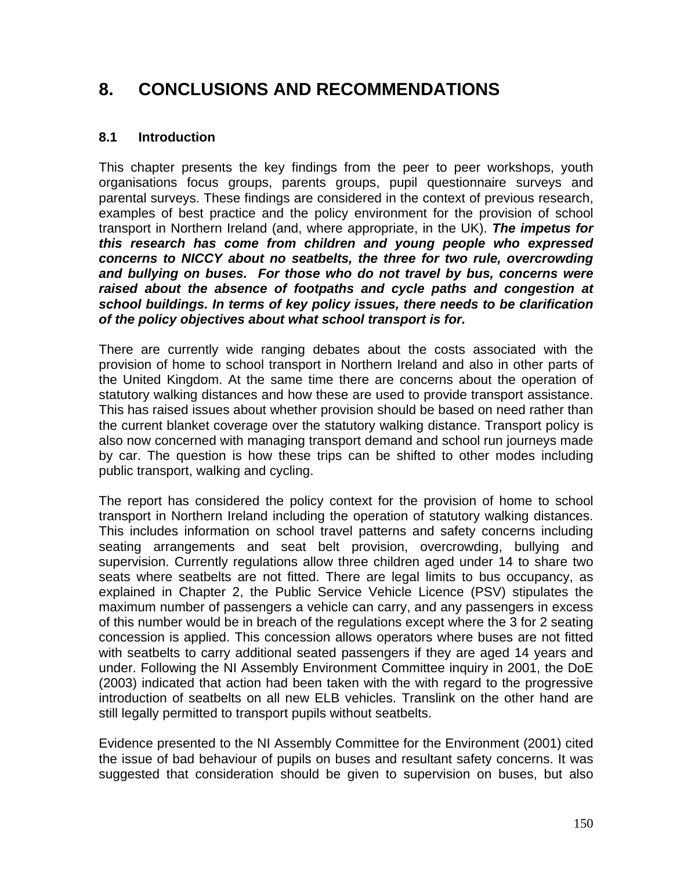# **8. CONCLUSIONS AND RECOMMENDATIONS**

#### **8.1 Introduction**

This chapter presents the key findings from the peer to peer workshops, youth organisations focus groups, parents groups, pupil questionnaire surveys and parental surveys. These findings are considered in the context of previous research, examples of best practice and the policy environment for the provision of school transport in Northern Ireland (and, where appropriate, in the UK). *The impetus for this research has come from children and young people who expressed concerns to NICCY about no seatbelts, the three for two rule, overcrowding and bullying on buses. For those who do not travel by bus, concerns were raised about the absence of footpaths and cycle paths and congestion at school buildings. In terms of key policy issues, there needs to be clarification of the policy objectives about what school transport is for.* 

There are currently wide ranging debates about the costs associated with the provision of home to school transport in Northern Ireland and also in other parts of the United Kingdom. At the same time there are concerns about the operation of statutory walking distances and how these are used to provide transport assistance. This has raised issues about whether provision should be based on need rather than the current blanket coverage over the statutory walking distance. Transport policy is also now concerned with managing transport demand and school run journeys made by car. The question is how these trips can be shifted to other modes including public transport, walking and cycling.

The report has considered the policy context for the provision of home to school transport in Northern Ireland including the operation of statutory walking distances. This includes information on school travel patterns and safety concerns including seating arrangements and seat belt provision, overcrowding, bullying and supervision. Currently regulations allow three children aged under 14 to share two seats where seatbelts are not fitted. There are legal limits to bus occupancy, as explained in Chapter 2, the Public Service Vehicle Licence (PSV) stipulates the maximum number of passengers a vehicle can carry, and any passengers in excess of this number would be in breach of the regulations except where the 3 for 2 seating concession is applied. This concession allows operators where buses are not fitted with seatbelts to carry additional seated passengers if they are aged 14 years and under. Following the NI Assembly Environment Committee inquiry in 2001, the DoE (2003) indicated that action had been taken with the with regard to the progressive introduction of seatbelts on all new ELB vehicles. Translink on the other hand are still legally permitted to transport pupils without seatbelts.

Evidence presented to the NI Assembly Committee for the Environment (2001) cited the issue of bad behaviour of pupils on buses and resultant safety concerns. It was suggested that consideration should be given to supervision on buses, but also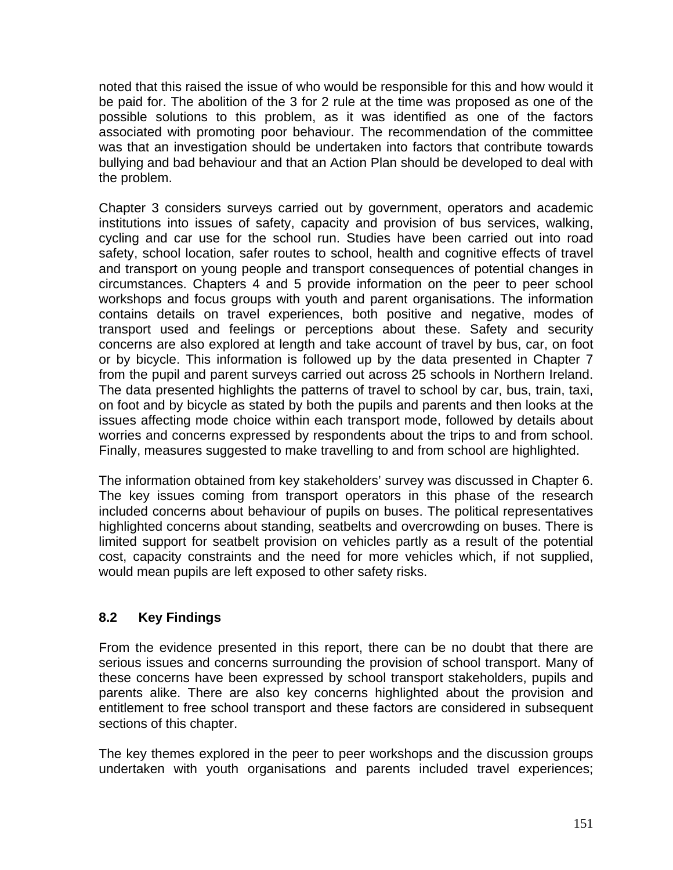noted that this raised the issue of who would be responsible for this and how would it be paid for. The abolition of the 3 for 2 rule at the time was proposed as one of the possible solutions to this problem, as it was identified as one of the factors associated with promoting poor behaviour. The recommendation of the committee was that an investigation should be undertaken into factors that contribute towards bullying and bad behaviour and that an Action Plan should be developed to deal with the problem.

Chapter 3 considers surveys carried out by government, operators and academic institutions into issues of safety, capacity and provision of bus services, walking, cycling and car use for the school run. Studies have been carried out into road safety, school location, safer routes to school, health and cognitive effects of travel and transport on young people and transport consequences of potential changes in circumstances. Chapters 4 and 5 provide information on the peer to peer school workshops and focus groups with youth and parent organisations. The information contains details on travel experiences, both positive and negative, modes of transport used and feelings or perceptions about these. Safety and security concerns are also explored at length and take account of travel by bus, car, on foot or by bicycle. This information is followed up by the data presented in Chapter 7 from the pupil and parent surveys carried out across 25 schools in Northern Ireland. The data presented highlights the patterns of travel to school by car, bus, train, taxi, on foot and by bicycle as stated by both the pupils and parents and then looks at the issues affecting mode choice within each transport mode, followed by details about worries and concerns expressed by respondents about the trips to and from school. Finally, measures suggested to make travelling to and from school are highlighted.

The information obtained from key stakeholders' survey was discussed in Chapter 6. The key issues coming from transport operators in this phase of the research included concerns about behaviour of pupils on buses. The political representatives highlighted concerns about standing, seatbelts and overcrowding on buses. There is limited support for seatbelt provision on vehicles partly as a result of the potential cost, capacity constraints and the need for more vehicles which, if not supplied, would mean pupils are left exposed to other safety risks.

## **8.2 Key Findings**

From the evidence presented in this report, there can be no doubt that there are serious issues and concerns surrounding the provision of school transport. Many of these concerns have been expressed by school transport stakeholders, pupils and parents alike. There are also key concerns highlighted about the provision and entitlement to free school transport and these factors are considered in subsequent sections of this chapter.

The key themes explored in the peer to peer workshops and the discussion groups undertaken with youth organisations and parents included travel experiences;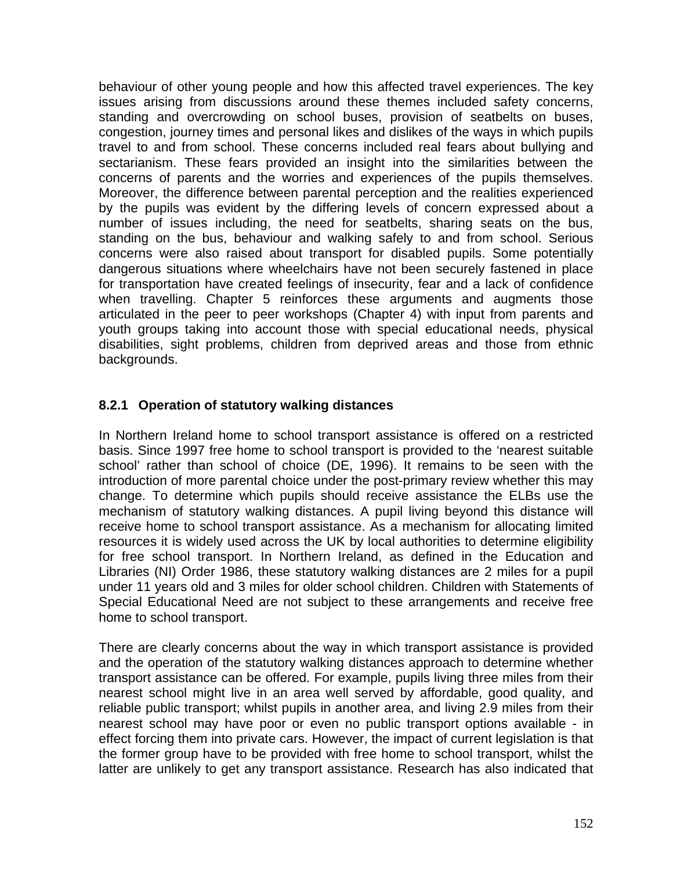behaviour of other young people and how this affected travel experiences. The key issues arising from discussions around these themes included safety concerns, standing and overcrowding on school buses, provision of seatbelts on buses, congestion, journey times and personal likes and dislikes of the ways in which pupils travel to and from school. These concerns included real fears about bullying and sectarianism. These fears provided an insight into the similarities between the concerns of parents and the worries and experiences of the pupils themselves. Moreover, the difference between parental perception and the realities experienced by the pupils was evident by the differing levels of concern expressed about a number of issues including, the need for seatbelts, sharing seats on the bus, standing on the bus, behaviour and walking safely to and from school. Serious concerns were also raised about transport for disabled pupils. Some potentially dangerous situations where wheelchairs have not been securely fastened in place for transportation have created feelings of insecurity, fear and a lack of confidence when travelling. Chapter 5 reinforces these arguments and augments those articulated in the peer to peer workshops (Chapter 4) with input from parents and youth groups taking into account those with special educational needs, physical disabilities, sight problems, children from deprived areas and those from ethnic backgrounds.

## **8.2.1 Operation of statutory walking distances**

In Northern Ireland home to school transport assistance is offered on a restricted basis. Since 1997 free home to school transport is provided to the 'nearest suitable school' rather than school of choice (DE, 1996). It remains to be seen with the introduction of more parental choice under the post-primary review whether this may change. To determine which pupils should receive assistance the ELBs use the mechanism of statutory walking distances. A pupil living beyond this distance will receive home to school transport assistance. As a mechanism for allocating limited resources it is widely used across the UK by local authorities to determine eligibility for free school transport. In Northern Ireland, as defined in the Education and Libraries (NI) Order 1986, these statutory walking distances are 2 miles for a pupil under 11 years old and 3 miles for older school children. Children with Statements of Special Educational Need are not subject to these arrangements and receive free home to school transport.

There are clearly concerns about the way in which transport assistance is provided and the operation of the statutory walking distances approach to determine whether transport assistance can be offered. For example, pupils living three miles from their nearest school might live in an area well served by affordable, good quality, and reliable public transport; whilst pupils in another area, and living 2.9 miles from their nearest school may have poor or even no public transport options available - in effect forcing them into private cars. However, the impact of current legislation is that the former group have to be provided with free home to school transport, whilst the latter are unlikely to get any transport assistance. Research has also indicated that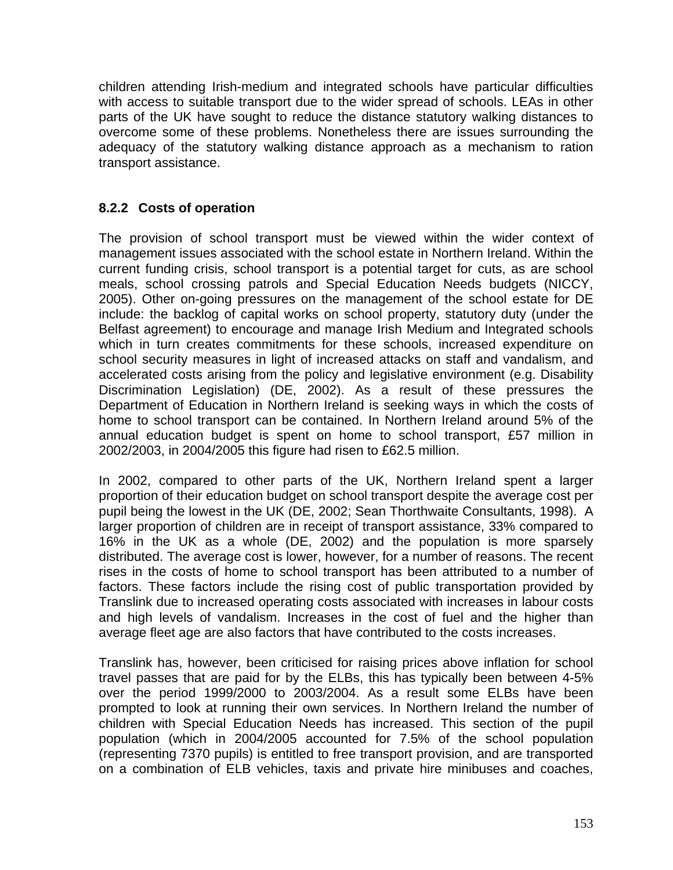children attending Irish-medium and integrated schools have particular difficulties with access to suitable transport due to the wider spread of schools. LEAs in other parts of the UK have sought to reduce the distance statutory walking distances to overcome some of these problems. Nonetheless there are issues surrounding the adequacy of the statutory walking distance approach as a mechanism to ration transport assistance.

## **8.2.2 Costs of operation**

The provision of school transport must be viewed within the wider context of management issues associated with the school estate in Northern Ireland. Within the current funding crisis, school transport is a potential target for cuts, as are school meals, school crossing patrols and Special Education Needs budgets (NICCY, 2005). Other on-going pressures on the management of the school estate for DE include: the backlog of capital works on school property, statutory duty (under the Belfast agreement) to encourage and manage Irish Medium and Integrated schools which in turn creates commitments for these schools, increased expenditure on school security measures in light of increased attacks on staff and vandalism, and accelerated costs arising from the policy and legislative environment (e.g. Disability Discrimination Legislation) (DE, 2002). As a result of these pressures the Department of Education in Northern Ireland is seeking ways in which the costs of home to school transport can be contained. In Northern Ireland around 5% of the annual education budget is spent on home to school transport, £57 million in 2002/2003, in 2004/2005 this figure had risen to £62.5 million.

In 2002, compared to other parts of the UK, Northern Ireland spent a larger proportion of their education budget on school transport despite the average cost per pupil being the lowest in the UK (DE, 2002; Sean Thorthwaite Consultants, 1998). A larger proportion of children are in receipt of transport assistance, 33% compared to 16% in the UK as a whole (DE, 2002) and the population is more sparsely distributed. The average cost is lower, however, for a number of reasons. The recent rises in the costs of home to school transport has been attributed to a number of factors. These factors include the rising cost of public transportation provided by Translink due to increased operating costs associated with increases in labour costs and high levels of vandalism. Increases in the cost of fuel and the higher than average fleet age are also factors that have contributed to the costs increases.

Translink has, however, been criticised for raising prices above inflation for school travel passes that are paid for by the ELBs, this has typically been between 4-5% over the period 1999/2000 to 2003/2004. As a result some ELBs have been prompted to look at running their own services. In Northern Ireland the number of children with Special Education Needs has increased. This section of the pupil population (which in 2004/2005 accounted for 7.5% of the school population (representing 7370 pupils) is entitled to free transport provision, and are transported on a combination of ELB vehicles, taxis and private hire minibuses and coaches,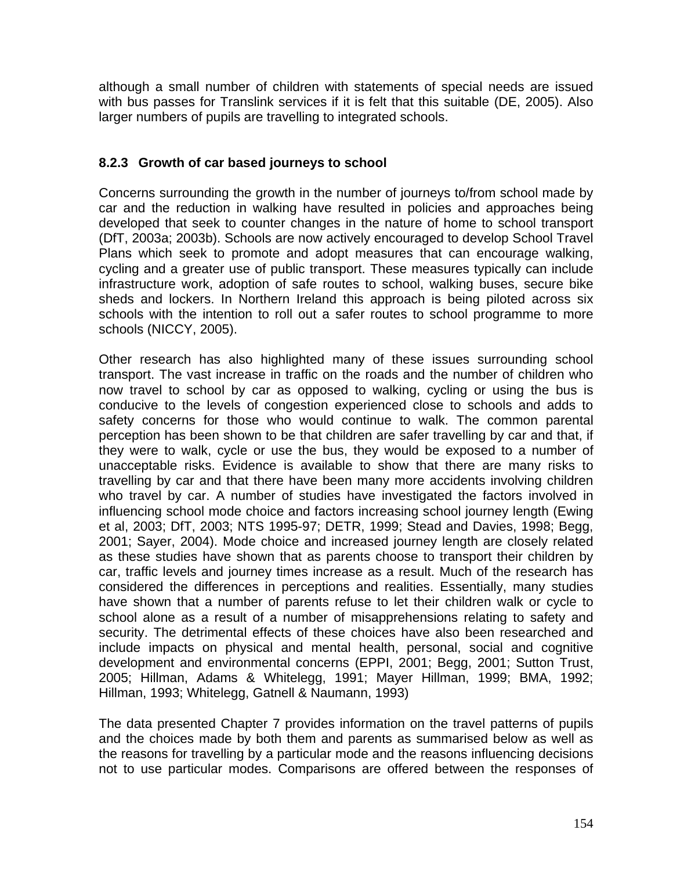although a small number of children with statements of special needs are issued with bus passes for Translink services if it is felt that this suitable (DE, 2005). Also larger numbers of pupils are travelling to integrated schools.

## **8.2.3 Growth of car based journeys to school**

Concerns surrounding the growth in the number of journeys to/from school made by car and the reduction in walking have resulted in policies and approaches being developed that seek to counter changes in the nature of home to school transport (DfT, 2003a; 2003b). Schools are now actively encouraged to develop School Travel Plans which seek to promote and adopt measures that can encourage walking, cycling and a greater use of public transport. These measures typically can include infrastructure work, adoption of safe routes to school, walking buses, secure bike sheds and lockers. In Northern Ireland this approach is being piloted across six schools with the intention to roll out a safer routes to school programme to more schools (NICCY, 2005).

Other research has also highlighted many of these issues surrounding school transport. The vast increase in traffic on the roads and the number of children who now travel to school by car as opposed to walking, cycling or using the bus is conducive to the levels of congestion experienced close to schools and adds to safety concerns for those who would continue to walk. The common parental perception has been shown to be that children are safer travelling by car and that, if they were to walk, cycle or use the bus, they would be exposed to a number of unacceptable risks. Evidence is available to show that there are many risks to travelling by car and that there have been many more accidents involving children who travel by car. A number of studies have investigated the factors involved in influencing school mode choice and factors increasing school journey length (Ewing et al, 2003; DfT, 2003; NTS 1995-97; DETR, 1999; Stead and Davies, 1998; Begg, 2001; Sayer, 2004). Mode choice and increased journey length are closely related as these studies have shown that as parents choose to transport their children by car, traffic levels and journey times increase as a result. Much of the research has considered the differences in perceptions and realities. Essentially, many studies have shown that a number of parents refuse to let their children walk or cycle to school alone as a result of a number of misapprehensions relating to safety and security. The detrimental effects of these choices have also been researched and include impacts on physical and mental health, personal, social and cognitive development and environmental concerns (EPPI, 2001; Begg, 2001; Sutton Trust, 2005; Hillman, Adams & Whitelegg, 1991; Mayer Hillman, 1999; BMA, 1992; Hillman, 1993; Whitelegg, Gatnell & Naumann, 1993)

The data presented Chapter 7 provides information on the travel patterns of pupils and the choices made by both them and parents as summarised below as well as the reasons for travelling by a particular mode and the reasons influencing decisions not to use particular modes. Comparisons are offered between the responses of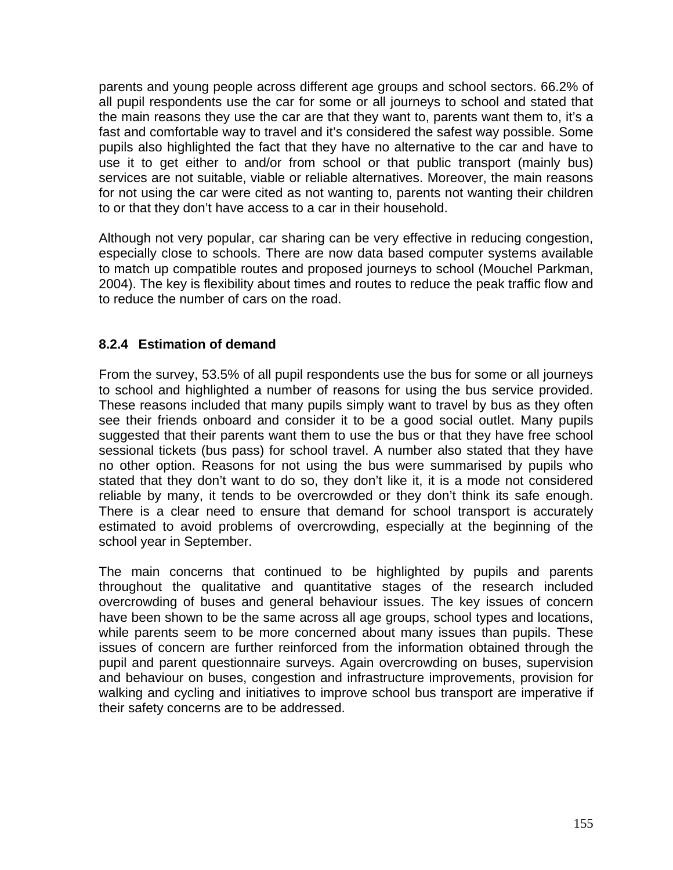parents and young people across different age groups and school sectors. 66.2% of all pupil respondents use the car for some or all journeys to school and stated that the main reasons they use the car are that they want to, parents want them to, it's a fast and comfortable way to travel and it's considered the safest way possible. Some pupils also highlighted the fact that they have no alternative to the car and have to use it to get either to and/or from school or that public transport (mainly bus) services are not suitable, viable or reliable alternatives. Moreover, the main reasons for not using the car were cited as not wanting to, parents not wanting their children to or that they don't have access to a car in their household.

Although not very popular, car sharing can be very effective in reducing congestion, especially close to schools. There are now data based computer systems available to match up compatible routes and proposed journeys to school (Mouchel Parkman, 2004). The key is flexibility about times and routes to reduce the peak traffic flow and to reduce the number of cars on the road.

## **8.2.4 Estimation of demand**

From the survey, 53.5% of all pupil respondents use the bus for some or all journeys to school and highlighted a number of reasons for using the bus service provided. These reasons included that many pupils simply want to travel by bus as they often see their friends onboard and consider it to be a good social outlet. Many pupils suggested that their parents want them to use the bus or that they have free school sessional tickets (bus pass) for school travel. A number also stated that they have no other option. Reasons for not using the bus were summarised by pupils who stated that they don't want to do so, they don't like it, it is a mode not considered reliable by many, it tends to be overcrowded or they don't think its safe enough. There is a clear need to ensure that demand for school transport is accurately estimated to avoid problems of overcrowding, especially at the beginning of the school year in September.

The main concerns that continued to be highlighted by pupils and parents throughout the qualitative and quantitative stages of the research included overcrowding of buses and general behaviour issues. The key issues of concern have been shown to be the same across all age groups, school types and locations, while parents seem to be more concerned about many issues than pupils. These issues of concern are further reinforced from the information obtained through the pupil and parent questionnaire surveys. Again overcrowding on buses, supervision and behaviour on buses, congestion and infrastructure improvements, provision for walking and cycling and initiatives to improve school bus transport are imperative if their safety concerns are to be addressed.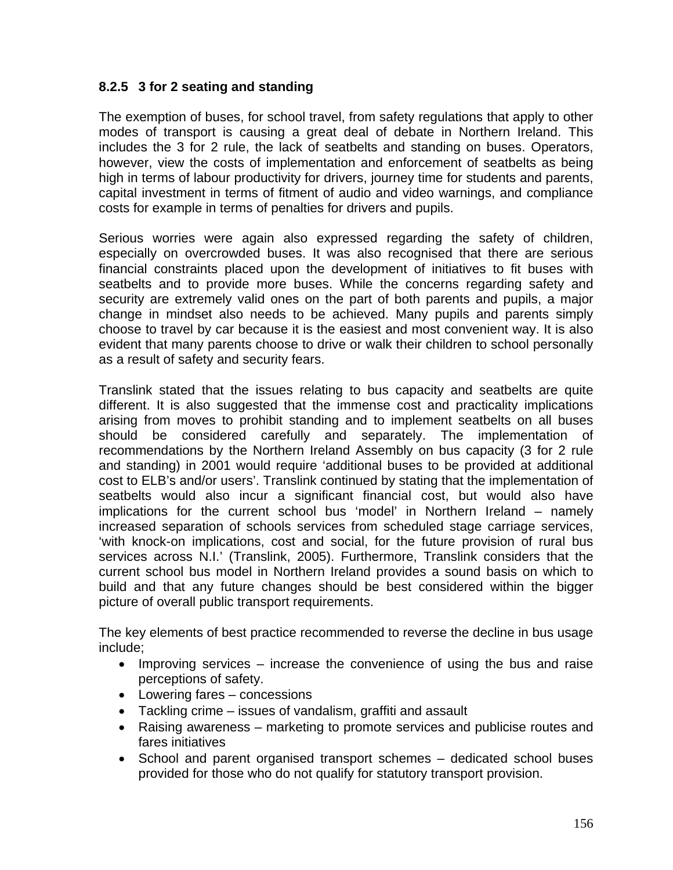## **8.2.5 3 for 2 seating and standing**

The exemption of buses, for school travel, from safety regulations that apply to other modes of transport is causing a great deal of debate in Northern Ireland. This includes the 3 for 2 rule, the lack of seatbelts and standing on buses. Operators, however, view the costs of implementation and enforcement of seatbelts as being high in terms of labour productivity for drivers, journey time for students and parents, capital investment in terms of fitment of audio and video warnings, and compliance costs for example in terms of penalties for drivers and pupils.

Serious worries were again also expressed regarding the safety of children, especially on overcrowded buses. It was also recognised that there are serious financial constraints placed upon the development of initiatives to fit buses with seatbelts and to provide more buses. While the concerns regarding safety and security are extremely valid ones on the part of both parents and pupils, a major change in mindset also needs to be achieved. Many pupils and parents simply choose to travel by car because it is the easiest and most convenient way. It is also evident that many parents choose to drive or walk their children to school personally as a result of safety and security fears.

Translink stated that the issues relating to bus capacity and seatbelts are quite different. It is also suggested that the immense cost and practicality implications arising from moves to prohibit standing and to implement seatbelts on all buses should be considered carefully and separately. The implementation of recommendations by the Northern Ireland Assembly on bus capacity (3 for 2 rule and standing) in 2001 would require 'additional buses to be provided at additional cost to ELB's and/or users'. Translink continued by stating that the implementation of seatbelts would also incur a significant financial cost, but would also have implications for the current school bus 'model' in Northern Ireland – namely increased separation of schools services from scheduled stage carriage services, 'with knock-on implications, cost and social, for the future provision of rural bus services across N.I.' (Translink, 2005). Furthermore, Translink considers that the current school bus model in Northern Ireland provides a sound basis on which to build and that any future changes should be best considered within the bigger picture of overall public transport requirements.

The key elements of best practice recommended to reverse the decline in bus usage include;

- Improving services increase the convenience of using the bus and raise perceptions of safety.
- Lowering fares concessions
- Tackling crime issues of vandalism, graffiti and assault
- Raising awareness marketing to promote services and publicise routes and fares initiatives
- School and parent organised transport schemes dedicated school buses provided for those who do not qualify for statutory transport provision.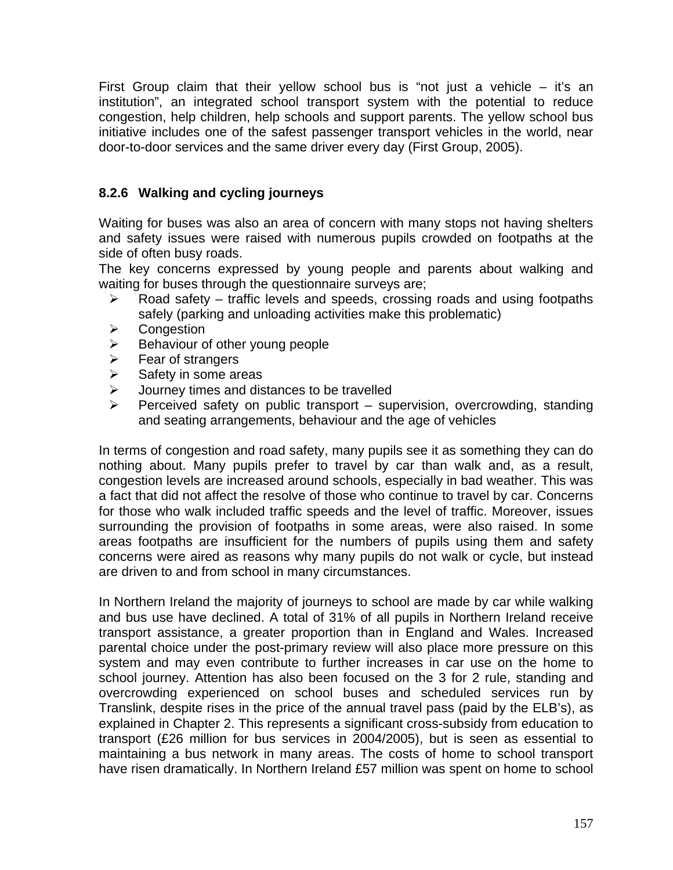First Group claim that their yellow school bus is "not just a vehicle – it's an institution", an integrated school transport system with the potential to reduce congestion, help children, help schools and support parents. The yellow school bus initiative includes one of the safest passenger transport vehicles in the world, near door-to-door services and the same driver every day (First Group, 2005).

# **8.2.6 Walking and cycling journeys**

Waiting for buses was also an area of concern with many stops not having shelters and safety issues were raised with numerous pupils crowded on footpaths at the side of often busy roads.

The key concerns expressed by young people and parents about walking and waiting for buses through the questionnaire surveys are:

- ¾ Road safety traffic levels and speeds, crossing roads and using footpaths safely (parking and unloading activities make this problematic)
- ¾ Congestion
- $\triangleright$  Behaviour of other young people
- $\triangleright$  Fear of strangers
- $\triangleright$  Safety in some areas
- $\triangleright$  Journey times and distances to be travelled
- ¾ Perceived safety on public transport supervision, overcrowding, standing and seating arrangements, behaviour and the age of vehicles

In terms of congestion and road safety, many pupils see it as something they can do nothing about. Many pupils prefer to travel by car than walk and, as a result, congestion levels are increased around schools, especially in bad weather. This was a fact that did not affect the resolve of those who continue to travel by car. Concerns for those who walk included traffic speeds and the level of traffic. Moreover, issues surrounding the provision of footpaths in some areas, were also raised. In some areas footpaths are insufficient for the numbers of pupils using them and safety concerns were aired as reasons why many pupils do not walk or cycle, but instead are driven to and from school in many circumstances.

In Northern Ireland the majority of journeys to school are made by car while walking and bus use have declined. A total of 31% of all pupils in Northern Ireland receive transport assistance, a greater proportion than in England and Wales. Increased parental choice under the post-primary review will also place more pressure on this system and may even contribute to further increases in car use on the home to school journey. Attention has also been focused on the 3 for 2 rule, standing and overcrowding experienced on school buses and scheduled services run by Translink, despite rises in the price of the annual travel pass (paid by the ELB's), as explained in Chapter 2. This represents a significant cross-subsidy from education to transport (£26 million for bus services in 2004/2005), but is seen as essential to maintaining a bus network in many areas. The costs of home to school transport have risen dramatically. In Northern Ireland £57 million was spent on home to school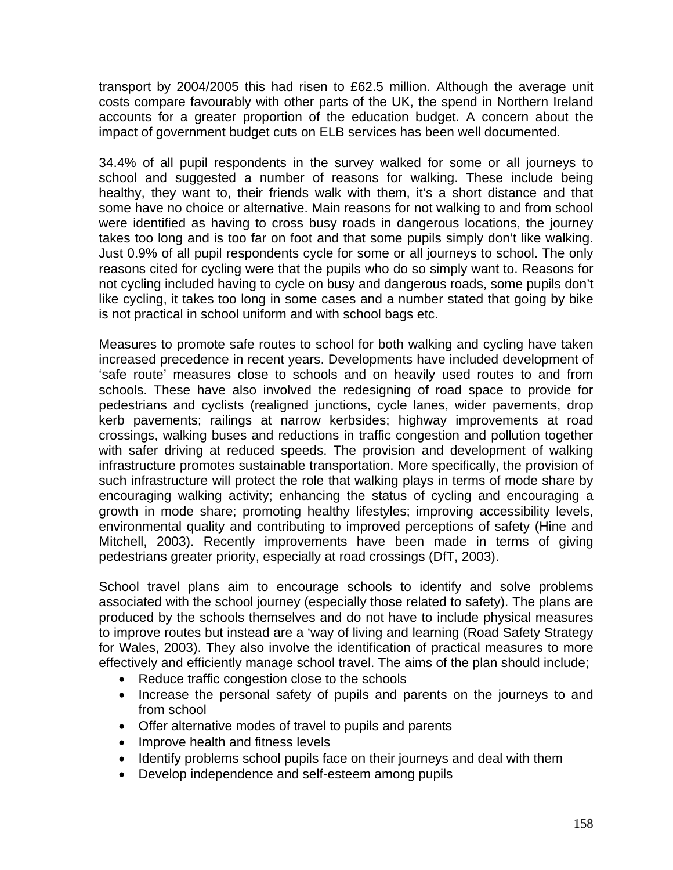transport by 2004/2005 this had risen to £62.5 million. Although the average unit costs compare favourably with other parts of the UK, the spend in Northern Ireland accounts for a greater proportion of the education budget. A concern about the impact of government budget cuts on ELB services has been well documented.

34.4% of all pupil respondents in the survey walked for some or all journeys to school and suggested a number of reasons for walking. These include being healthy, they want to, their friends walk with them, it's a short distance and that some have no choice or alternative. Main reasons for not walking to and from school were identified as having to cross busy roads in dangerous locations, the journey takes too long and is too far on foot and that some pupils simply don't like walking. Just 0.9% of all pupil respondents cycle for some or all journeys to school. The only reasons cited for cycling were that the pupils who do so simply want to. Reasons for not cycling included having to cycle on busy and dangerous roads, some pupils don't like cycling, it takes too long in some cases and a number stated that going by bike is not practical in school uniform and with school bags etc.

Measures to promote safe routes to school for both walking and cycling have taken increased precedence in recent years. Developments have included development of 'safe route' measures close to schools and on heavily used routes to and from schools. These have also involved the redesigning of road space to provide for pedestrians and cyclists (realigned junctions, cycle lanes, wider pavements, drop kerb pavements; railings at narrow kerbsides; highway improvements at road crossings, walking buses and reductions in traffic congestion and pollution together with safer driving at reduced speeds. The provision and development of walking infrastructure promotes sustainable transportation. More specifically, the provision of such infrastructure will protect the role that walking plays in terms of mode share by encouraging walking activity; enhancing the status of cycling and encouraging a growth in mode share; promoting healthy lifestyles; improving accessibility levels, environmental quality and contributing to improved perceptions of safety (Hine and Mitchell, 2003). Recently improvements have been made in terms of giving pedestrians greater priority, especially at road crossings (DfT, 2003).

School travel plans aim to encourage schools to identify and solve problems associated with the school journey (especially those related to safety). The plans are produced by the schools themselves and do not have to include physical measures to improve routes but instead are a 'way of living and learning (Road Safety Strategy for Wales, 2003). They also involve the identification of practical measures to more effectively and efficiently manage school travel. The aims of the plan should include;

- Reduce traffic congestion close to the schools
- Increase the personal safety of pupils and parents on the journeys to and from school
- Offer alternative modes of travel to pupils and parents
- Improve health and fitness levels
- Identify problems school pupils face on their journeys and deal with them
- Develop independence and self-esteem among pupils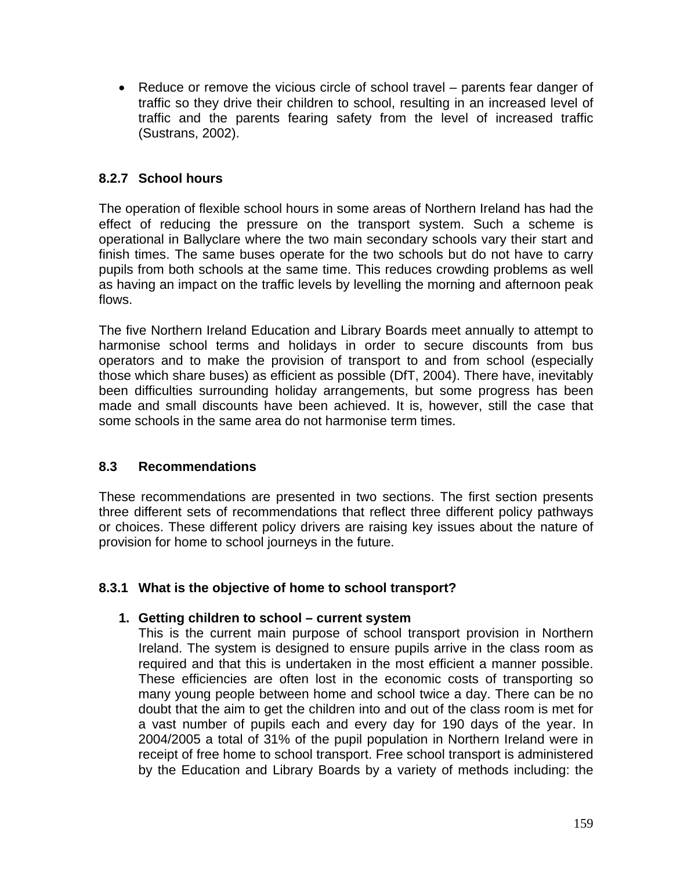• Reduce or remove the vicious circle of school travel – parents fear danger of traffic so they drive their children to school, resulting in an increased level of traffic and the parents fearing safety from the level of increased traffic (Sustrans, 2002).

## **8.2.7 School hours**

The operation of flexible school hours in some areas of Northern Ireland has had the effect of reducing the pressure on the transport system. Such a scheme is operational in Ballyclare where the two main secondary schools vary their start and finish times. The same buses operate for the two schools but do not have to carry pupils from both schools at the same time. This reduces crowding problems as well as having an impact on the traffic levels by levelling the morning and afternoon peak flows.

The five Northern Ireland Education and Library Boards meet annually to attempt to harmonise school terms and holidays in order to secure discounts from bus operators and to make the provision of transport to and from school (especially those which share buses) as efficient as possible (DfT, 2004). There have, inevitably been difficulties surrounding holiday arrangements, but some progress has been made and small discounts have been achieved. It is, however, still the case that some schools in the same area do not harmonise term times.

## **8.3 Recommendations**

These recommendations are presented in two sections. The first section presents three different sets of recommendations that reflect three different policy pathways or choices. These different policy drivers are raising key issues about the nature of provision for home to school journeys in the future.

## **8.3.1 What is the objective of home to school transport?**

#### **1. Getting children to school – current system**

This is the current main purpose of school transport provision in Northern Ireland. The system is designed to ensure pupils arrive in the class room as required and that this is undertaken in the most efficient a manner possible. These efficiencies are often lost in the economic costs of transporting so many young people between home and school twice a day. There can be no doubt that the aim to get the children into and out of the class room is met for a vast number of pupils each and every day for 190 days of the year. In 2004/2005 a total of 31% of the pupil population in Northern Ireland were in receipt of free home to school transport. Free school transport is administered by the Education and Library Boards by a variety of methods including: the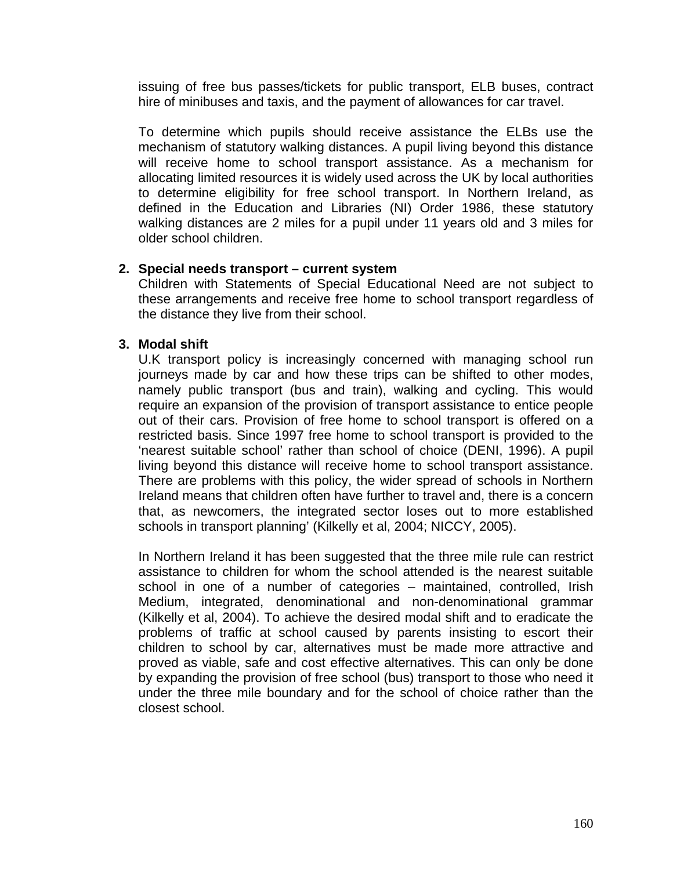issuing of free bus passes/tickets for public transport, ELB buses, contract hire of minibuses and taxis, and the payment of allowances for car travel.

To determine which pupils should receive assistance the ELBs use the mechanism of statutory walking distances. A pupil living beyond this distance will receive home to school transport assistance. As a mechanism for allocating limited resources it is widely used across the UK by local authorities to determine eligibility for free school transport. In Northern Ireland, as defined in the Education and Libraries (NI) Order 1986, these statutory walking distances are 2 miles for a pupil under 11 years old and 3 miles for older school children.

#### **2. Special needs transport – current system**

Children with Statements of Special Educational Need are not subject to these arrangements and receive free home to school transport regardless of the distance they live from their school.

#### **3. Modal shift**

U.K transport policy is increasingly concerned with managing school run journeys made by car and how these trips can be shifted to other modes, namely public transport (bus and train), walking and cycling. This would require an expansion of the provision of transport assistance to entice people out of their cars. Provision of free home to school transport is offered on a restricted basis. Since 1997 free home to school transport is provided to the 'nearest suitable school' rather than school of choice (DENI, 1996). A pupil living beyond this distance will receive home to school transport assistance. There are problems with this policy, the wider spread of schools in Northern Ireland means that children often have further to travel and, there is a concern that, as newcomers, the integrated sector loses out to more established schools in transport planning' (Kilkelly et al, 2004; NICCY, 2005).

In Northern Ireland it has been suggested that the three mile rule can restrict assistance to children for whom the school attended is the nearest suitable school in one of a number of categories – maintained, controlled, Irish Medium, integrated, denominational and non-denominational grammar (Kilkelly et al, 2004). To achieve the desired modal shift and to eradicate the problems of traffic at school caused by parents insisting to escort their children to school by car, alternatives must be made more attractive and proved as viable, safe and cost effective alternatives. This can only be done by expanding the provision of free school (bus) transport to those who need it under the three mile boundary and for the school of choice rather than the closest school.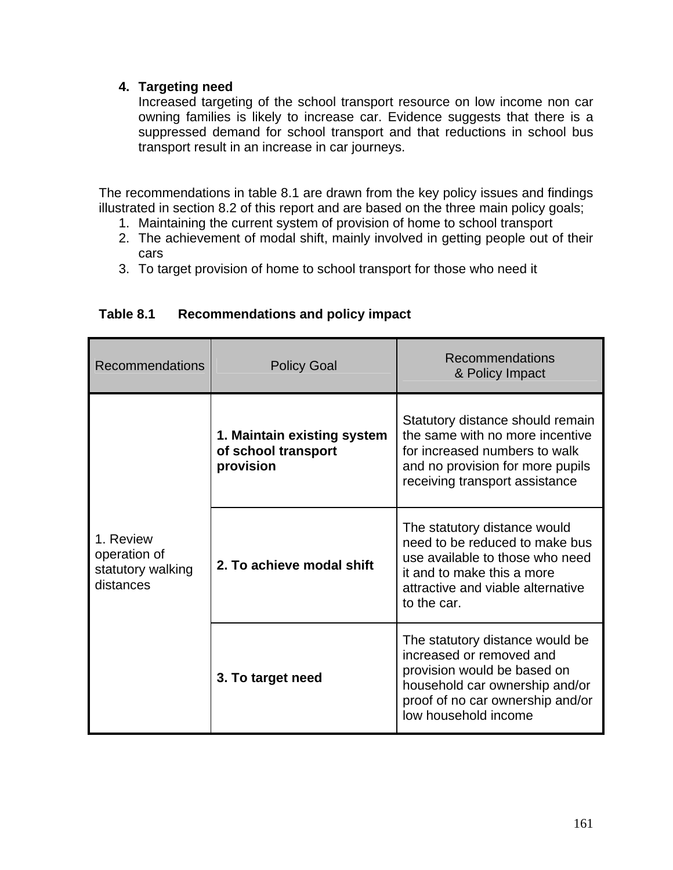## **4. Targeting need**

Increased targeting of the school transport resource on low income non car owning families is likely to increase car. Evidence suggests that there is a suppressed demand for school transport and that reductions in school bus transport result in an increase in car journeys.

The recommendations in table 8.1 are drawn from the key policy issues and findings illustrated in section 8.2 of this report and are based on the three main policy goals;

- 1. Maintaining the current system of provision of home to school transport
- 2. The achievement of modal shift, mainly involved in getting people out of their cars
- 3. To target provision of home to school transport for those who need it

| <b>Recommendations</b>                                      | <b>Policy Goal</b>                                              | Recommendations<br>& Policy Impact                                                                                                                                                       |
|-------------------------------------------------------------|-----------------------------------------------------------------|------------------------------------------------------------------------------------------------------------------------------------------------------------------------------------------|
| 1. Review<br>operation of<br>statutory walking<br>distances | 1. Maintain existing system<br>of school transport<br>provision | Statutory distance should remain<br>the same with no more incentive<br>for increased numbers to walk<br>and no provision for more pupils<br>receiving transport assistance               |
|                                                             | 2. To achieve modal shift                                       | The statutory distance would<br>need to be reduced to make bus<br>use available to those who need<br>it and to make this a more<br>attractive and viable alternative<br>to the car.      |
|                                                             | 3. To target need                                               | The statutory distance would be<br>increased or removed and<br>provision would be based on<br>household car ownership and/or<br>proof of no car ownership and/or<br>low household income |

## **Table 8.1 Recommendations and policy impact**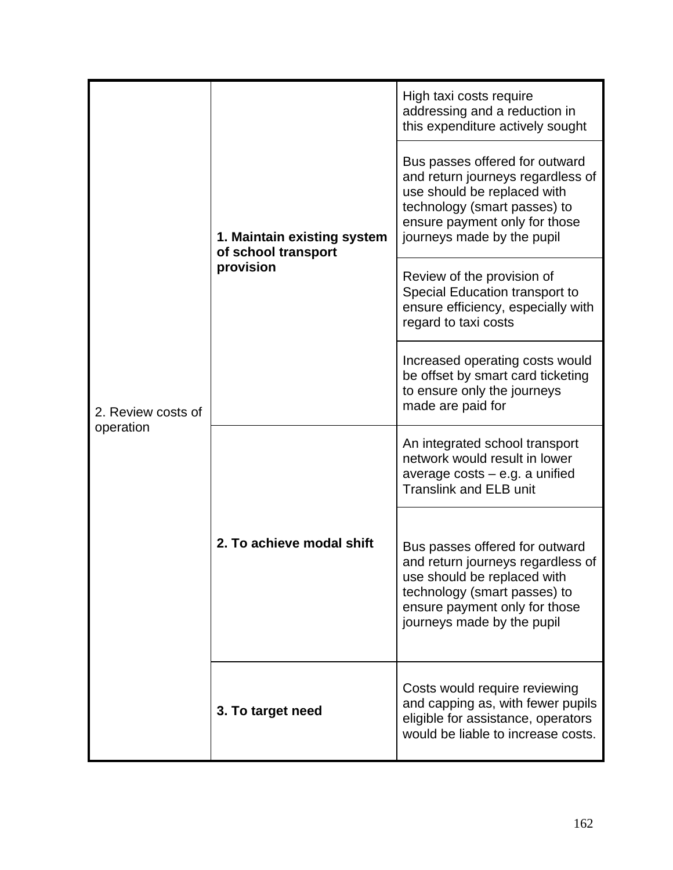| 2. Review costs of<br>operation | 1. Maintain existing system<br>of school transport<br>provision | High taxi costs require<br>addressing and a reduction in<br>this expenditure actively sought                                                                                                      |
|---------------------------------|-----------------------------------------------------------------|---------------------------------------------------------------------------------------------------------------------------------------------------------------------------------------------------|
|                                 |                                                                 | Bus passes offered for outward<br>and return journeys regardless of<br>use should be replaced with<br>technology (smart passes) to<br>ensure payment only for those<br>journeys made by the pupil |
|                                 |                                                                 | Review of the provision of<br>Special Education transport to<br>ensure efficiency, especially with<br>regard to taxi costs                                                                        |
|                                 |                                                                 | Increased operating costs would<br>be offset by smart card ticketing<br>to ensure only the journeys<br>made are paid for                                                                          |
|                                 | 2. To achieve modal shift                                       | An integrated school transport<br>network would result in lower<br>average $costs - e.g.$ a unified<br><b>Translink and ELB unit</b>                                                              |
|                                 |                                                                 | Bus passes offered for outward<br>and return journeys regardless of<br>use should be replaced with<br>technology (smart passes) to<br>ensure payment only for those<br>journeys made by the pupil |
|                                 | 3. To target need                                               | Costs would require reviewing<br>and capping as, with fewer pupils<br>eligible for assistance, operators<br>would be liable to increase costs.                                                    |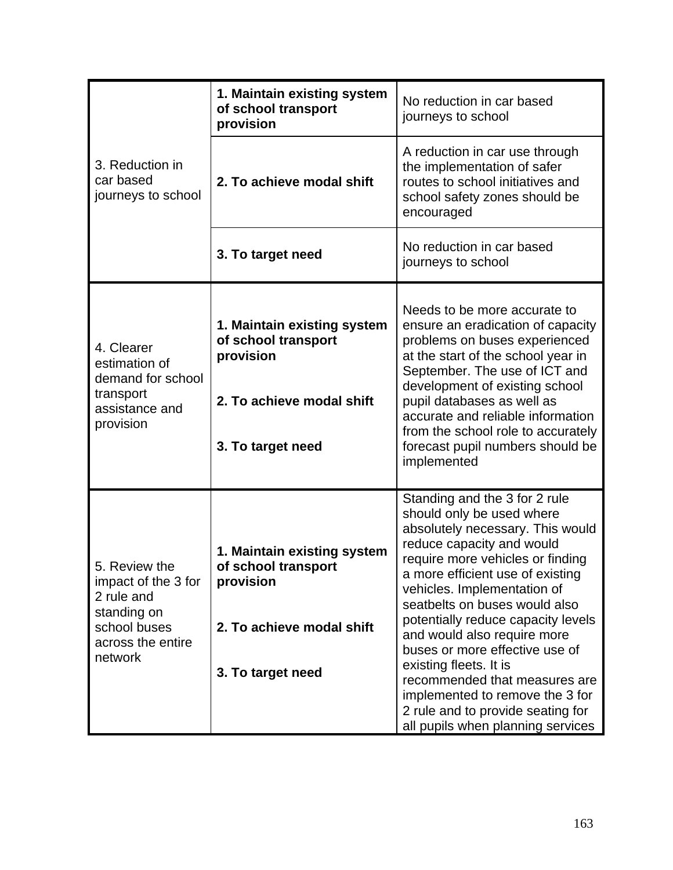| 3. Reduction in<br>car based<br>journeys to school                                                                | 1. Maintain existing system<br>of school transport<br>provision                                                   | No reduction in car based<br>journeys to school                                                                                                                                                                                                                                                                                                                                                                                                                                                                                                    |
|-------------------------------------------------------------------------------------------------------------------|-------------------------------------------------------------------------------------------------------------------|----------------------------------------------------------------------------------------------------------------------------------------------------------------------------------------------------------------------------------------------------------------------------------------------------------------------------------------------------------------------------------------------------------------------------------------------------------------------------------------------------------------------------------------------------|
|                                                                                                                   | 2. To achieve modal shift                                                                                         | A reduction in car use through<br>the implementation of safer<br>routes to school initiatives and<br>school safety zones should be<br>encouraged                                                                                                                                                                                                                                                                                                                                                                                                   |
|                                                                                                                   | 3. To target need                                                                                                 | No reduction in car based<br>journeys to school                                                                                                                                                                                                                                                                                                                                                                                                                                                                                                    |
| 4. Clearer<br>estimation of<br>demand for school<br>transport<br>assistance and<br>provision                      | 1. Maintain existing system<br>of school transport<br>provision<br>2. To achieve modal shift<br>3. To target need | Needs to be more accurate to<br>ensure an eradication of capacity<br>problems on buses experienced<br>at the start of the school year in<br>September. The use of ICT and<br>development of existing school<br>pupil databases as well as<br>accurate and reliable information<br>from the school role to accurately<br>forecast pupil numbers should be<br>implemented                                                                                                                                                                            |
| 5. Review the<br>impact of the 3 for<br>2 rule and<br>standing on<br>school buses<br>across the entire<br>network | 1. Maintain existing system<br>of school transport<br>provision<br>2. To achieve modal shift<br>3. To target need | Standing and the 3 for 2 rule<br>should only be used where<br>absolutely necessary. This would<br>reduce capacity and would<br>require more vehicles or finding<br>a more efficient use of existing<br>vehicles. Implementation of<br>seatbelts on buses would also<br>potentially reduce capacity levels<br>and would also require more<br>buses or more effective use of<br>existing fleets. It is<br>recommended that measures are<br>implemented to remove the 3 for<br>2 rule and to provide seating for<br>all pupils when planning services |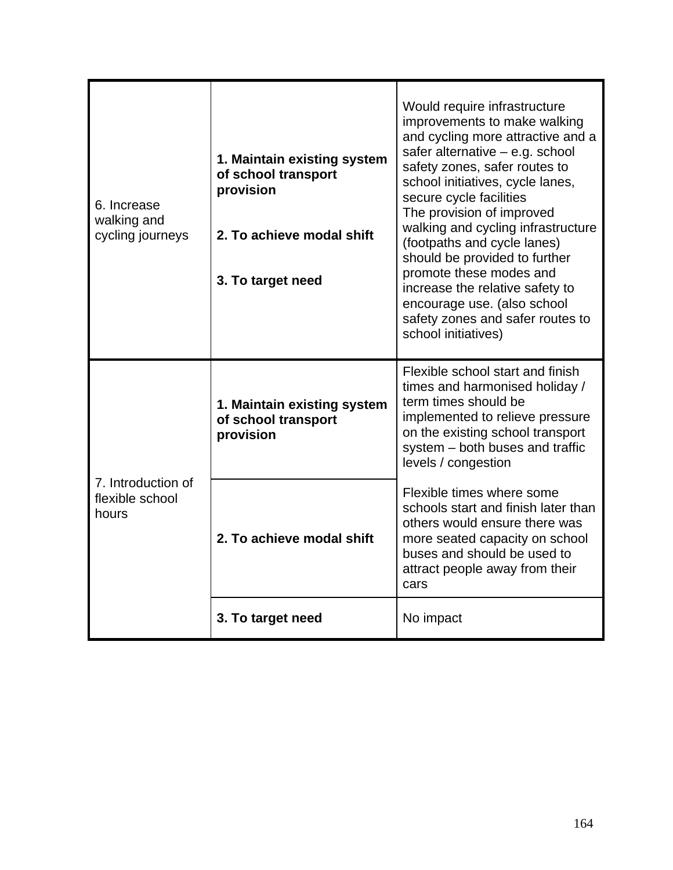| 6. Increase<br>walking and<br>cycling journeys | 1. Maintain existing system<br>of school transport<br>provision<br>2. To achieve modal shift<br>3. To target need | Would require infrastructure<br>improvements to make walking<br>and cycling more attractive and a<br>safer alternative $-$ e.g. school<br>safety zones, safer routes to<br>school initiatives, cycle lanes,<br>secure cycle facilities<br>The provision of improved<br>walking and cycling infrastructure<br>(footpaths and cycle lanes)<br>should be provided to further<br>promote these modes and<br>increase the relative safety to<br>encourage use. (also school<br>safety zones and safer routes to<br>school initiatives) |
|------------------------------------------------|-------------------------------------------------------------------------------------------------------------------|-----------------------------------------------------------------------------------------------------------------------------------------------------------------------------------------------------------------------------------------------------------------------------------------------------------------------------------------------------------------------------------------------------------------------------------------------------------------------------------------------------------------------------------|
| 7. Introduction of<br>flexible school<br>hours | 1. Maintain existing system<br>of school transport<br>provision                                                   | Flexible school start and finish<br>times and harmonised holiday /<br>term times should be<br>implemented to relieve pressure<br>on the existing school transport<br>system - both buses and traffic<br>levels / congestion                                                                                                                                                                                                                                                                                                       |
|                                                | 2. To achieve modal shift                                                                                         | Flexible times where some<br>schools start and finish later than<br>others would ensure there was<br>more seated capacity on school<br>buses and should be used to<br>attract people away from their<br>cars                                                                                                                                                                                                                                                                                                                      |
|                                                | 3. To target need                                                                                                 | No impact                                                                                                                                                                                                                                                                                                                                                                                                                                                                                                                         |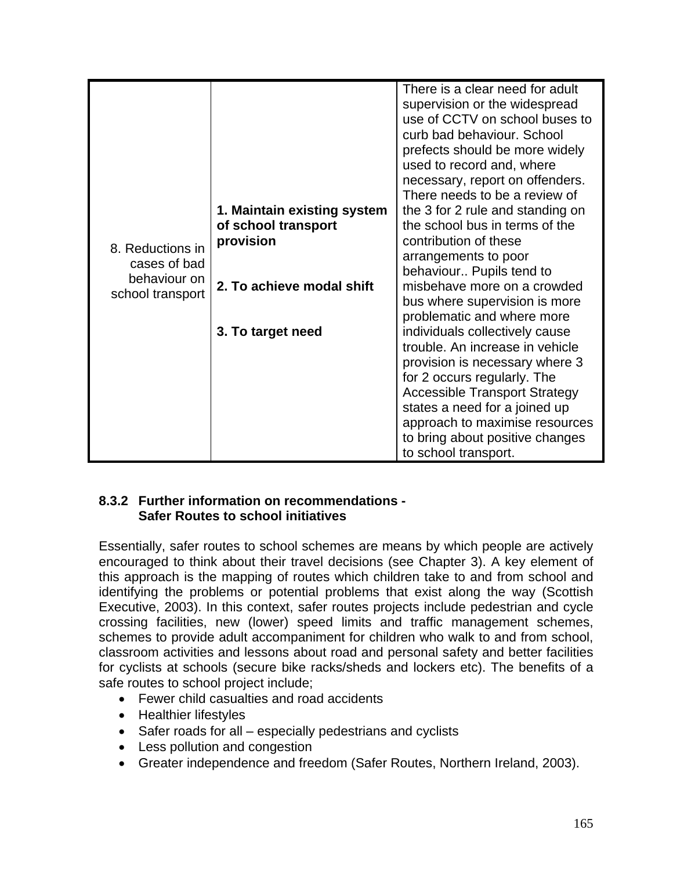|                                  |                                  | There is a clear need for adult<br>supervision or the widespread<br>use of CCTV on school buses to                           |
|----------------------------------|----------------------------------|------------------------------------------------------------------------------------------------------------------------------|
|                                  |                                  | curb bad behaviour. School<br>prefects should be more widely<br>used to record and, where<br>necessary, report on offenders. |
|                                  |                                  | There needs to be a review of                                                                                                |
|                                  | 1. Maintain existing system      | the 3 for 2 rule and standing on<br>the school bus in terms of the                                                           |
|                                  | of school transport<br>provision | contribution of these                                                                                                        |
| 8. Reductions in                 |                                  | arrangements to poor                                                                                                         |
| cases of bad                     |                                  | behaviour Pupils tend to                                                                                                     |
| behaviour on<br>school transport | 2. To achieve modal shift        | misbehave more on a crowded                                                                                                  |
|                                  |                                  | bus where supervision is more                                                                                                |
|                                  |                                  | problematic and where more                                                                                                   |
|                                  | 3. To target need                | individuals collectively cause                                                                                               |
|                                  |                                  | trouble. An increase in vehicle                                                                                              |
|                                  |                                  | provision is necessary where 3                                                                                               |
|                                  |                                  | for 2 occurs regularly. The                                                                                                  |
|                                  |                                  | <b>Accessible Transport Strategy</b>                                                                                         |
|                                  |                                  | states a need for a joined up                                                                                                |
|                                  |                                  | approach to maximise resources                                                                                               |
|                                  |                                  | to bring about positive changes                                                                                              |
|                                  |                                  | to school transport.                                                                                                         |

#### **8.3.2 Further information on recommendations - Safer Routes to school initiatives**

Essentially, safer routes to school schemes are means by which people are actively encouraged to think about their travel decisions (see Chapter 3). A key element of this approach is the mapping of routes which children take to and from school and identifying the problems or potential problems that exist along the way (Scottish Executive, 2003). In this context, safer routes projects include pedestrian and cycle crossing facilities, new (lower) speed limits and traffic management schemes, schemes to provide adult accompaniment for children who walk to and from school, classroom activities and lessons about road and personal safety and better facilities for cyclists at schools (secure bike racks/sheds and lockers etc). The benefits of a safe routes to school project include;

- Fewer child casualties and road accidents
- Healthier lifestyles
- Safer roads for all especially pedestrians and cyclists
- Less pollution and congestion
- Greater independence and freedom (Safer Routes, Northern Ireland, 2003).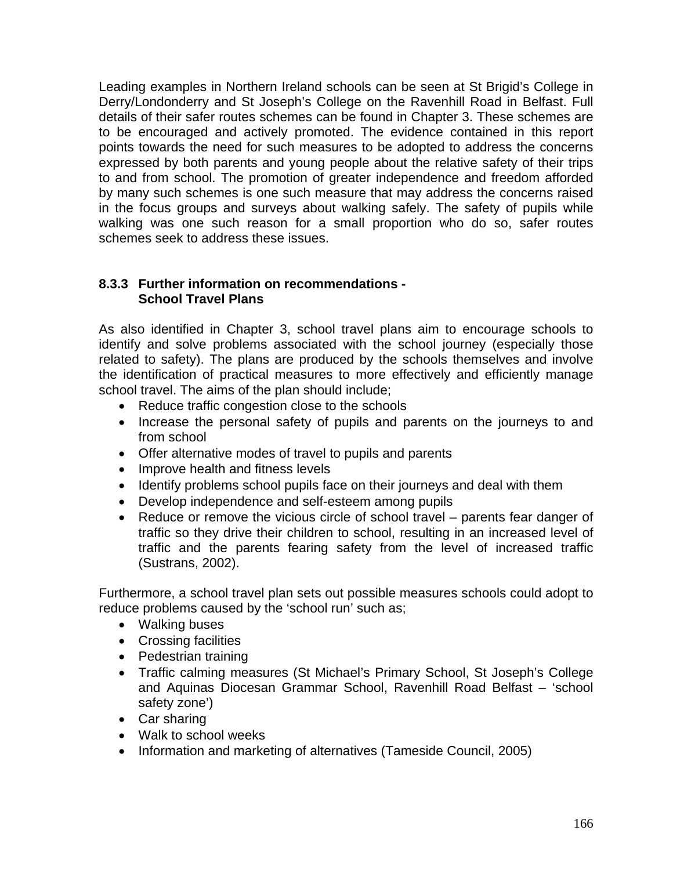Leading examples in Northern Ireland schools can be seen at St Brigid's College in Derry/Londonderry and St Joseph's College on the Ravenhill Road in Belfast. Full details of their safer routes schemes can be found in Chapter 3. These schemes are to be encouraged and actively promoted. The evidence contained in this report points towards the need for such measures to be adopted to address the concerns expressed by both parents and young people about the relative safety of their trips to and from school. The promotion of greater independence and freedom afforded by many such schemes is one such measure that may address the concerns raised in the focus groups and surveys about walking safely. The safety of pupils while walking was one such reason for a small proportion who do so, safer routes schemes seek to address these issues.

#### **8.3.3 Further information on recommendations - School Travel Plans**

As also identified in Chapter 3, school travel plans aim to encourage schools to identify and solve problems associated with the school journey (especially those related to safety). The plans are produced by the schools themselves and involve the identification of practical measures to more effectively and efficiently manage school travel. The aims of the plan should include;

- Reduce traffic congestion close to the schools
- Increase the personal safety of pupils and parents on the journeys to and from school
- Offer alternative modes of travel to pupils and parents
- Improve health and fitness levels
- Identify problems school pupils face on their journeys and deal with them
- Develop independence and self-esteem among pupils
- Reduce or remove the vicious circle of school travel parents fear danger of traffic so they drive their children to school, resulting in an increased level of traffic and the parents fearing safety from the level of increased traffic (Sustrans, 2002).

Furthermore, a school travel plan sets out possible measures schools could adopt to reduce problems caused by the 'school run' such as;

- Walking buses
- Crossing facilities
- Pedestrian training
- Traffic calming measures (St Michael's Primary School, St Joseph's College and Aquinas Diocesan Grammar School, Ravenhill Road Belfast – 'school safety zone')
- Car sharing
- Walk to school weeks
- Information and marketing of alternatives (Tameside Council, 2005)